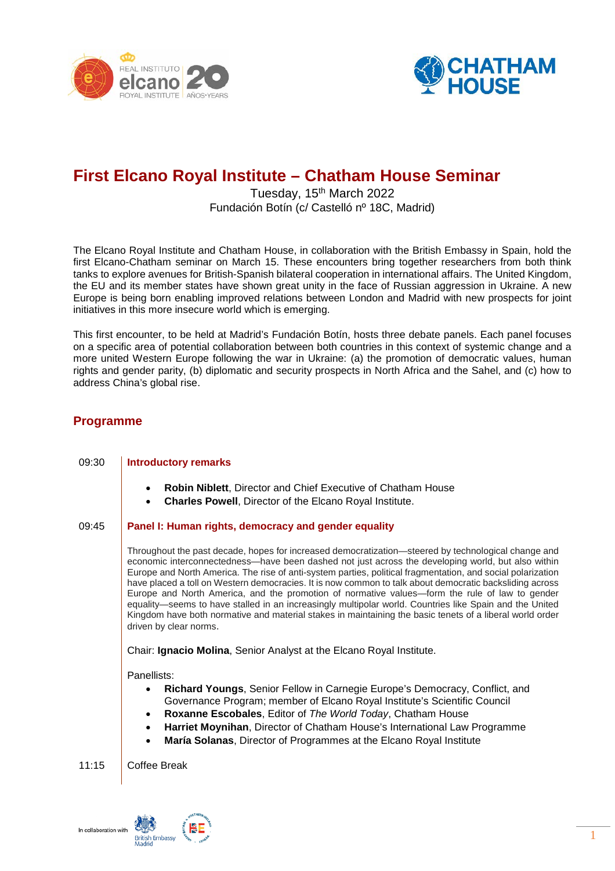



# **First Elcano Royal Institute – Chatham House Seminar**

## Tuesday, 15<sup>th</sup> March 2022 Fundación Botín (c/ Castelló nº 18C, Madrid)

The Elcano Royal Institute and Chatham House, in collaboration with the British Embassy in Spain, hold the first Elcano-Chatham seminar on March 15. These encounters bring together researchers from both think tanks to explore avenues for British-Spanish bilateral cooperation in international affairs. The United Kingdom, the EU and its member states have shown great unity in the face of Russian aggression in Ukraine. A new Europe is being born enabling improved relations between London and Madrid with new prospects for joint initiatives in this more insecure world which is emerging.

This first encounter, to be held at Madrid's Fundación Botín, hosts three debate panels. Each panel focuses on a specific area of potential collaboration between both countries in this context of systemic change and a more united Western Europe following the war in Ukraine: (a) the promotion of democratic values, human rights and gender parity, (b) diplomatic and security prospects in North Africa and the Sahel, and (c) how to address China's global rise.

### **Programme**

# 09:30 **Introductory remarks** • **Robin [Niblett](https://www.chathamhouse.org/about-us/our-people/robin-niblett)**, Director and Chief Executive of Chatham House • **[Charles](https://www.realinstitutoelcano.org/en/biographies/charles-powell/) Powell**, Director of the Elcano Royal Institute. 09:45 **Panel I: Human rights, democracy and gender equality** Throughout the past decade, hopes for increased democratization—steered by technological change and economic interconnectedness—have been dashed not just across the developing world, but also within Europe and North America. The rise of anti-system parties, political fragmentation, and social polarization have placed a toll on Western democracies. It is now common to talk about democratic backsliding across Europe and North America, and the promotion of normative values—form the rule of law to gender equality—seems to have stalled in an increasingly multipolar world. Countries like Spain and the United Kingdom have both normative and material stakes in maintaining the basic tenets of a liberal world order driven by clear norms. Chair: **[Ignacio Molina](https://www.realinstitutoelcano.org/en/biographies/ignacio-molina/)**, Senior Analyst at the Elcano Royal Institute. Panellists: • **[Richard Youngs](https://carnegieeurope.eu/experts/828)**, Senior Fellow in Carnegie Europe's Democracy, Conflict, and Governance Program; member of Elcano Royal Institute's Scientific Council • **Roxanne [Escobales](https://www.chathamhouse.org/publications/the-world-today/2021-06/editor)**, Editor of *The World Today*, Chatham House • **Harriet [Moynihan](https://www.chathamhouse.org/about-us/our-people/harriet-moynihan)**, Director of Chatham House's International Law Programme • **[María Solanas](https://www.realinstitutoelcano.org/en/biographies/maria-solanas/)**, Director of Programmes at the Elcano Royal Institute 11:15 | Coffee Break